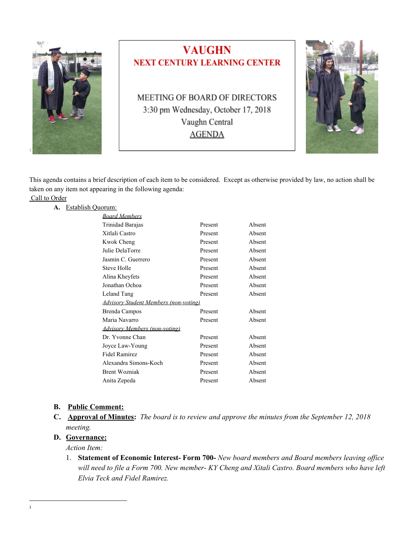

This agenda contains a brief description of each item to be considered. Except as otherwise provided by law, no action shall be taken on any item not appearing in the following agenda:

# Call to Order

#### **A.** Establish Quorum:

| <b>Board Members</b>                  |         |        |
|---------------------------------------|---------|--------|
| Trinidad Barajas                      | Present | Absent |
| Xitlali Castro                        | Present | Absent |
| <b>Kwok Cheng</b>                     | Present | Absent |
| Julie DelaTorre                       | Present | Absent |
| Jasmin C. Guerrero                    | Present | Absent |
| Steve Holle                           | Present | Absent |
| Alina Kheyfets                        | Present | Absent |
| Jonathan Ochoa                        | Present | Absent |
| Leland Tang                           | Present | Absent |
| Advisory Student Members (non-voting) |         |        |
| Brenda Campos                         | Present | Absent |
| Maria Navarro                         | Present | Absent |
| <b>Advisory Members (non-voting)</b>  |         |        |
| Dr. Yvonne Chan                       | Present | Absent |
| Joyce Law-Young                       | Present | Absent |
| <b>Fidel Ramirez</b>                  | Present | Absent |
| Alexandra Simons-Koch                 | Present | Absent |
| <b>Brent Wozniak</b>                  | Present | Absent |
| Anita Zepeda                          | Present | Absent |

#### **B. Public Comment:**

**C. Approval of Minutes:** *The board is to review and approve the minutes from the September 12, 2018 meeting.*

#### **D. Governance:**

*Action Item:*

1. **Statement of Economic Interest- Form 700-** *New board members and Board members leaving of ice* will need to file a Form 700. New member- KY Cheng and Xitali Castro. Board members who have left *Elvia Teck and Fidel Ramirez.*

1